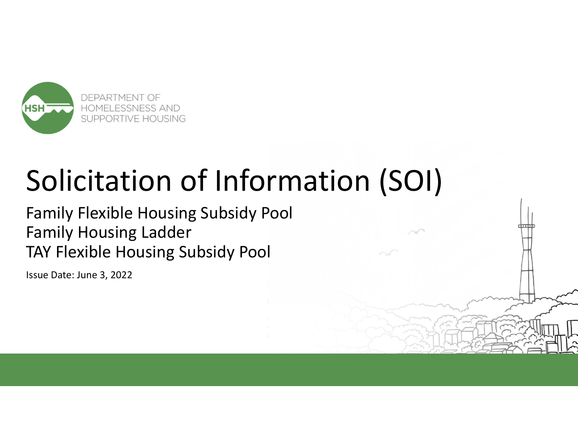

# Solicitation of Information (SOI)

Family Flexible Housing Subsidy Pool Family Housing Ladder TAY Flexible Housing Subsidy Pool

Issue Date: June 3, 2022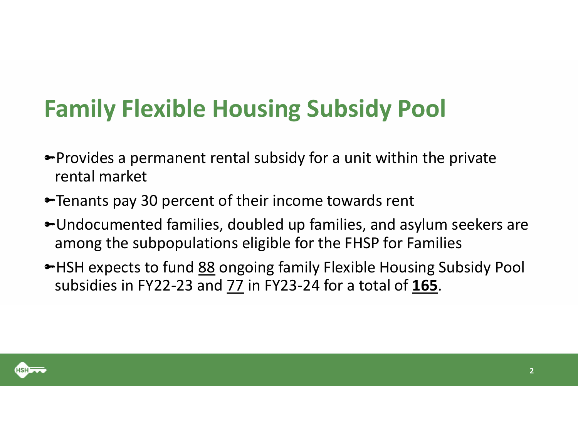### Family Flexible Housing Subsidy Pool

- Provides a permanent rental subsidy for a unit within the private rental market
- Tenants pay 30 percent of their income towards rent
- Undocumented families, doubled up families, and asylum seekers are among the subpopulations eligible for the FHSP for Families **AMILY Flexible Housing Subsidy Pool**<br>Provides a permanent rental subsidy for a unit within the private<br>rental market<br>Tenants pay 30 percent of their income towards rent<br>Undocumented families, doubled up families, and asyl
- **SUBSIDY POOI**<br>Provides a permanent rental subsidy for a unit within the private<br>rental market<br>Tenants pay 30 percent of their income towards rent<br>Undocumented families, doubled up families, and asylum seeken<br>among the sub

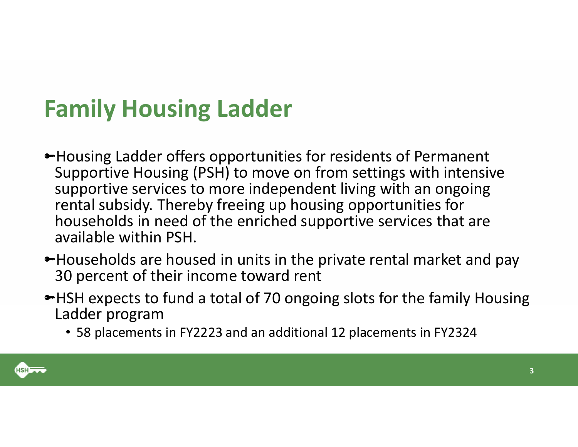#### Family Housing Ladder

- Housing Ladder offers opportunities for residents of Permanent Supportive Housing (PSH) to move on from settings with intensive supportive services to more independent living with an ongoing rental subsidy. Thereby freeing up housing opportunities for households in need of the enriched supportive services that are available within PSH. **amily Housing Ladder**<br>Housing Ladder offers opportunities for residents of Permanent<br>Supportive Housing (PSH) to move on from settings with intensive<br>supportive services to more independent living with an ongoing<br>rental s
- 30 percent of their income toward rent
- HSH expects to fund a total of 70 ongoing slots for the family Housing Ladder program
	- 58 placements in FY2223 and an additional 12 placements in FY2324

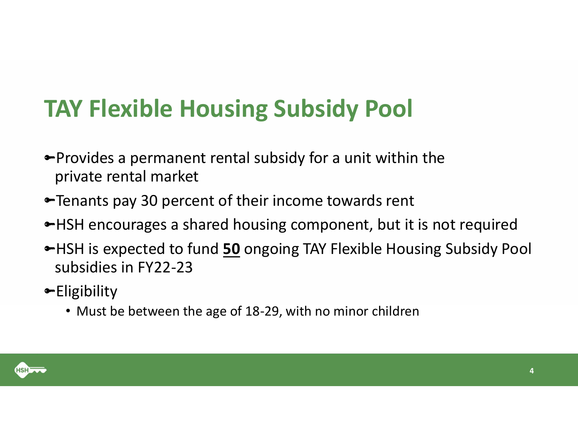## TAY Flexible Housing Subsidy Pool

- Provides a permanent rental subsidy for a unit within the **THE STAN FIEXIBIE HOUSING SUBSID**<br>Provides a permanent rental subsidy for a<br>private rental market<br>Tenants pay 30 percent of their income tov<br>HSH encourages a shared housing compon
- **Tenants pay 30 percent of their income towards rent**
- $\blacktriangleright$ **HSH** encourages a shared housing component, but it is not required
- HSH is expected to fund 50 ongoing TAY Flexible Housing Subsidy Pool subsidies in FY22-23
- **Eligibility** 
	- Must be between the age of 18-29, with no minor children

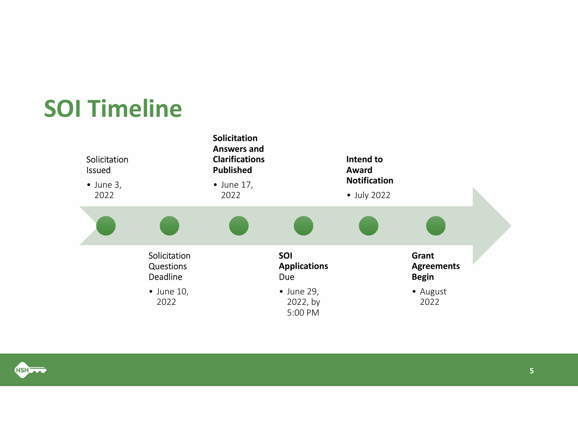#### SOI Timeline